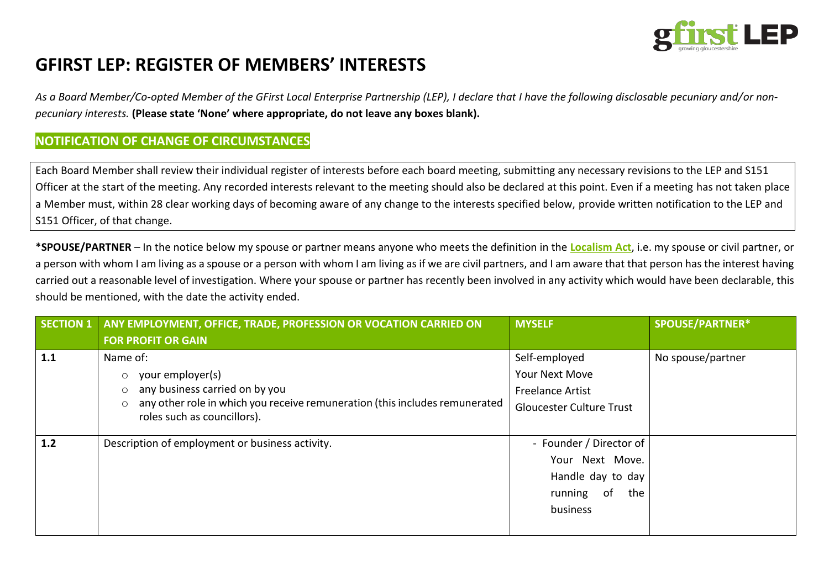

# **GFIRST LEP: REGISTER OF MEMBERS' INTERESTS**

*As a Board Member/Co-opted Member of the GFirst Local Enterprise Partnership (LEP), I declare that I have the following disclosable pecuniary and/or nonpecuniary interests.* **(Please state 'None' where appropriate, do not leave any boxes blank).**

### **NOTIFICATION OF CHANGE OF CIRCUMSTANCES**

Each Board Member shall review their individual register of interests before each board meeting, submitting any necessary revisions to the LEP and S151 Officer at the start of the meeting. Any recorded interests relevant to the meeting should also be declared at this point. Even if a meeting has not taken place a Member must, within 28 clear working days of becoming aware of any change to the interests specified below, provide written notification to the LEP and S151 Officer, of that change.

\***SPOUSE/PARTNER** – In the notice below my spouse or partner means anyone who meets the definition in the **[Localism](http://www.legislation.gov.uk/ukpga/2011/20/contents/enacted) Act**, i.e. my spouse or civil partner, or a person with whom I am living as a spouse or a person with whom I am living as if we are civil partners, and I am aware that that person has the interest having carried out a reasonable level of investigation. Where your spouse or partner has recently been involved in any activity which would have been declarable, this should be mentioned, with the date the activity ended.

| <b>SECTION 1</b> | ANY EMPLOYMENT, OFFICE, TRADE, PROFESSION OR VOCATION CARRIED ON                                                      | <b>MYSELF</b>                   | SPOUSE/PARTNER*   |
|------------------|-----------------------------------------------------------------------------------------------------------------------|---------------------------------|-------------------|
|                  | <b>FOR PROFIT OR GAIN</b>                                                                                             |                                 |                   |
| 1.1              | Name of:                                                                                                              | Self-employed                   | No spouse/partner |
|                  | your employer(s)<br>$\circ$                                                                                           | Your Next Move                  |                   |
|                  | any business carried on by you<br>$\circ$                                                                             | <b>Freelance Artist</b>         |                   |
|                  | any other role in which you receive remuneration (this includes remunerated<br>$\circ$<br>roles such as councillors). | <b>Gloucester Culture Trust</b> |                   |
| 1.2              | Description of employment or business activity.                                                                       | - Founder / Director of         |                   |
|                  |                                                                                                                       | Your Next Move.                 |                   |
|                  |                                                                                                                       | Handle day to day               |                   |
|                  |                                                                                                                       | -of<br>running<br>the           |                   |
|                  |                                                                                                                       | business                        |                   |
|                  |                                                                                                                       |                                 |                   |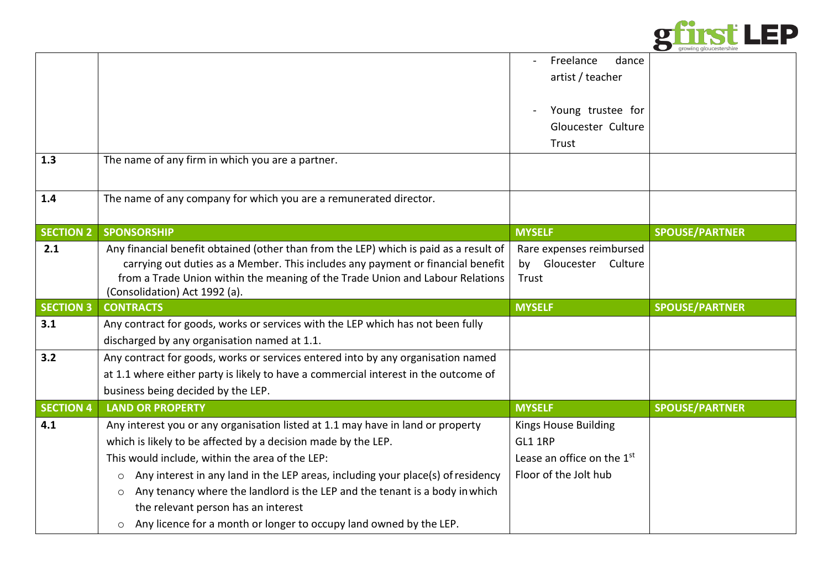

| <b>SPOUSE/PARTNER</b> |
|-----------------------|
|                       |
|                       |
|                       |
|                       |
| <b>SPOUSE/PARTNER</b> |
|                       |
|                       |
|                       |
|                       |
|                       |
| <b>SPOUSE/PARTNER</b> |
|                       |
|                       |
|                       |
|                       |
|                       |
|                       |
|                       |
|                       |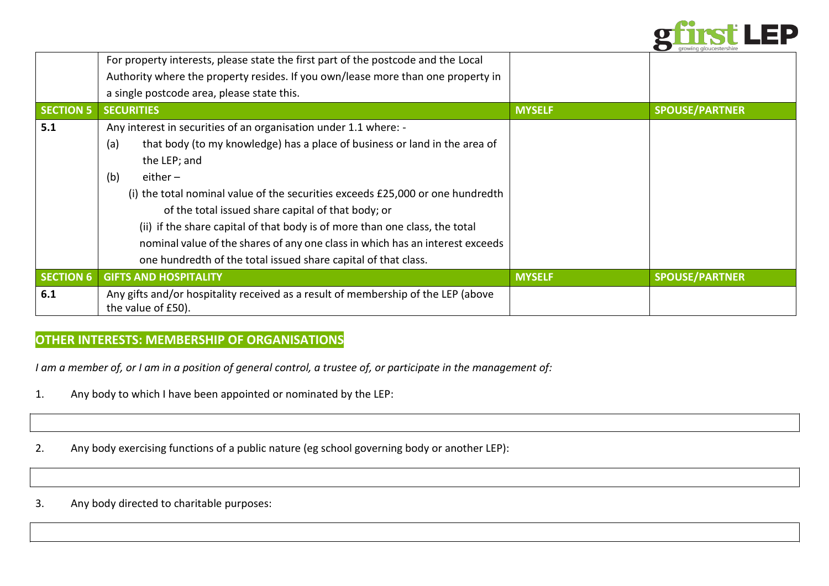

|                  | For property interests, please state the first part of the postcode and the Local                       |               |                       |
|------------------|---------------------------------------------------------------------------------------------------------|---------------|-----------------------|
|                  | Authority where the property resides. If you own/lease more than one property in                        |               |                       |
|                  | a single postcode area, please state this.                                                              |               |                       |
| <b>SECTION 5</b> | <b>SECURITIES</b>                                                                                       | <b>MYSELF</b> | <b>SPOUSE/PARTNER</b> |
| 5.1              | Any interest in securities of an organisation under 1.1 where: -                                        |               |                       |
|                  | that body (to my knowledge) has a place of business or land in the area of<br>(a)                       |               |                       |
|                  | the LEP; and                                                                                            |               |                       |
|                  | (b)<br>either $-$                                                                                       |               |                       |
|                  | (i) the total nominal value of the securities exceeds £25,000 or one hundredth                          |               |                       |
|                  | of the total issued share capital of that body; or                                                      |               |                       |
|                  | (ii) if the share capital of that body is of more than one class, the total                             |               |                       |
|                  | nominal value of the shares of any one class in which has an interest exceeds                           |               |                       |
|                  | one hundredth of the total issued share capital of that class.                                          |               |                       |
| <b>SECTION 6</b> | <b>GIFTS AND HOSPITALITY</b>                                                                            | <b>MYSELF</b> | <b>SPOUSE/PARTNER</b> |
| 6.1              | Any gifts and/or hospitality received as a result of membership of the LEP (above<br>the value of £50). |               |                       |

## **OTHER INTERESTS: MEMBERSHIP OF ORGANISATIONS**

*I am a member of, or I am in a position of general control, a trustee of, or participate in the management of:*

- 1. Any body to which I have been appointed or nominated by the LEP:
- 2. Any body exercising functions of a public nature (eg school governing body or another LEP):
- 3. Any body directed to charitable purposes: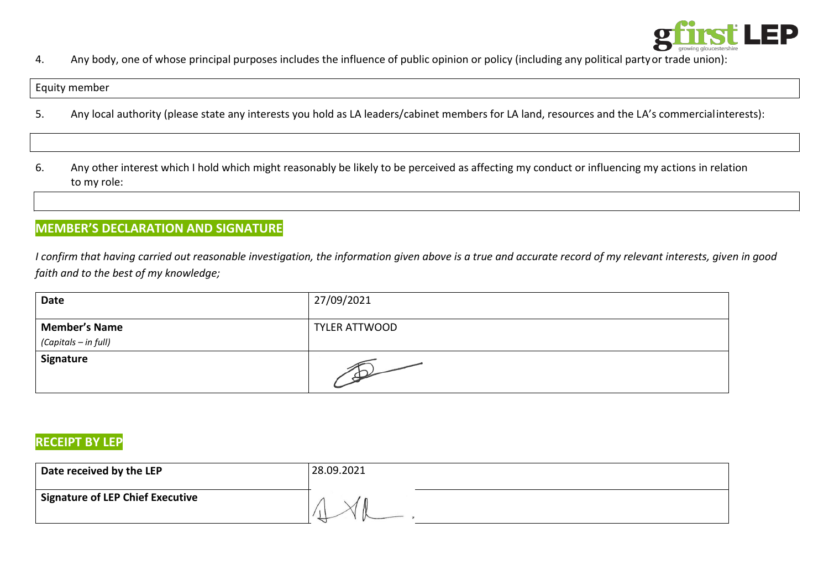

4. Any body, one of whose principal purposes includes the influence of public opinion or policy (including any political partyor trade union):

#### Equity member

- 5. Any local authority (please state any interests you hold as LA leaders/cabinet members for LA land, resources and the LA's commercialinterests):
- 6. Any other interest which I hold which might reasonably be likely to be perceived as affecting my conduct or influencing my actions in relation to my role:

## **MEMBER'S DECLARATION AND SIGNATURE**

*I confirm that having carried out reasonable investigation, the information given above is a true and accurate record of my relevant interests, given in good faith and to the best of my knowledge;*

| <b>Date</b>                                  | 27/09/2021           |
|----------------------------------------------|----------------------|
| <b>Member's Name</b><br>(Capitals – in full) | <b>TYLER ATTWOOD</b> |
| Signature                                    | $\mathcal{P}'$       |

### **RECEIPT BY LEP**

| Date received by the LEP         | 28.09.2021 |
|----------------------------------|------------|
| Signature of LEP Chief Executive |            |